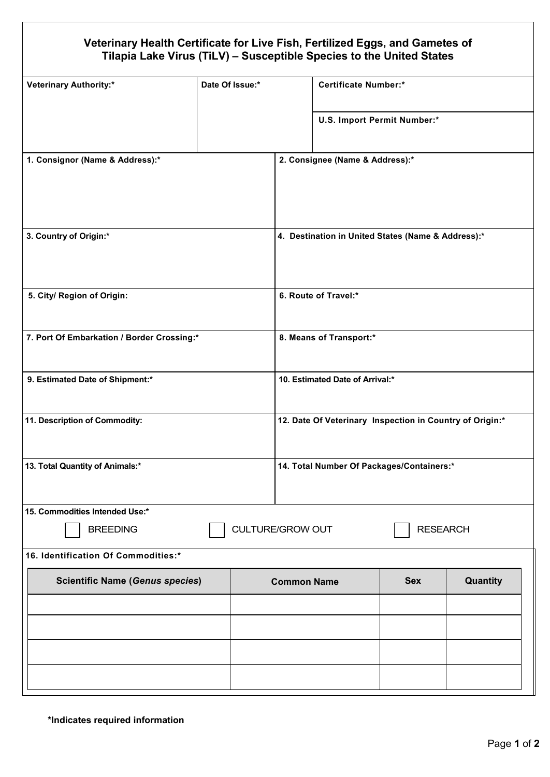## **Veterinary Health Certificate for Live Fish, Fertilized Eggs, and Gametes of Tilapia Lake Virus (TiLV) – Susceptible Species to the United States**

| <b>Veterinary Authority:*</b>              | Date Of Issue:* |                                 |                                                          | <b>Certificate Number:*</b> |          |  |
|--------------------------------------------|-----------------|---------------------------------|----------------------------------------------------------|-----------------------------|----------|--|
|                                            |                 |                                 |                                                          | U.S. Import Permit Number:* |          |  |
| 1. Consignor (Name & Address):*            |                 | 2. Consignee (Name & Address):* |                                                          |                             |          |  |
|                                            |                 |                                 |                                                          |                             |          |  |
| 3. Country of Origin:*                     |                 |                                 | 4. Destination in United States (Name & Address):*       |                             |          |  |
| 5. City/ Region of Origin:                 |                 |                                 | 6. Route of Travel:*                                     |                             |          |  |
| 7. Port Of Embarkation / Border Crossing:* |                 |                                 | 8. Means of Transport:*                                  |                             |          |  |
| 9. Estimated Date of Shipment:*            |                 |                                 | 10. Estimated Date of Arrival:*                          |                             |          |  |
| 11. Description of Commodity:              |                 |                                 | 12. Date Of Veterinary Inspection in Country of Origin:* |                             |          |  |
| 13. Total Quantity of Animals:*            |                 |                                 | 14. Total Number Of Packages/Containers:*                |                             |          |  |
| 15. Commodities Intended Use:*             |                 |                                 |                                                          |                             |          |  |
| <b>BREEDING</b>                            |                 |                                 | <b>CULTURE/GROW OUT</b><br><b>RESEARCH</b>               |                             |          |  |
| 16. Identification Of Commodities:*        |                 |                                 |                                                          |                             |          |  |
| <b>Scientific Name (Genus species)</b>     |                 | <b>Common Name</b>              |                                                          | <b>Sex</b>                  | Quantity |  |
|                                            |                 |                                 |                                                          |                             |          |  |
|                                            |                 |                                 |                                                          |                             |          |  |
|                                            |                 |                                 |                                                          |                             |          |  |